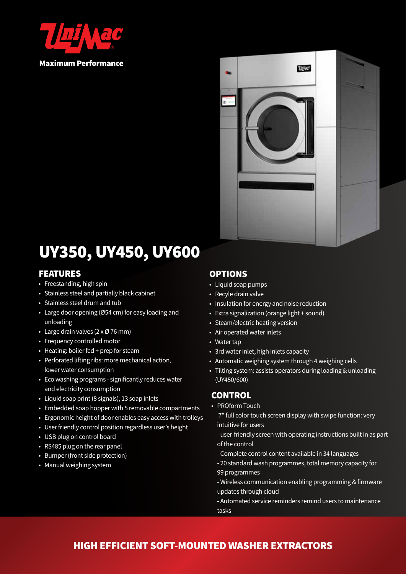

**Maximum Performance** 



# UY350, UY450, UY600

#### FEATURES

- Freestanding, high spin
- Stainless steel and partially black cabinet
- Stainless steel drum and tub
- Large door opening (Ø54 cm) for easy loading and unloading
- Large drain valves (2 x Ø 76 mm)
- Frequency controlled motor
- Heating: boiler fed + prep for steam
- Perforated lifting ribs: more mechanical action, lower water consumption
- Eco washing programs significantly reduces water and electricity consumption
- Liquid soap print (8 signals), 13 soap inlets
- Embedded soap hopper with 5 removable compartments
- Ergonomic height of door enables easy access with trolleys
- User friendly control position regardless user's height
- USB plug on control board
- RS485 plug on the rear panel
- Bumper (front side protection)
- Manual weighing system

### OPTIONS

- Liquid soap pumps
- Recyle drain valve
- Insulation for energy and noise reduction
- Extra signalization (orange light + sound)
- Steam/electric heating version
- Air operated water inlets
- Water tap
- 3rd water inlet, high inlets capacity
- Automatic weighing system through 4 weighing cells
- Tilting system: assists operators during loading & unloading (UY450/600)

### **CONTROL**

• PROform Touch

 7" full color touch screen display with swipe function: very intuitive for users

- user-friendly screen with operating instructions built in as part of the control
- Complete control content available in 34 languages
- 20 standard wash programmes, total memory capacity for 99 programmes
- Wireless communication enabling programming & firmware updates through cloud
- Automated service reminders remind users to maintenance tasks

## HIGH EFFICIENT SOFT-MOUNTED WASHER EXTRACTORS